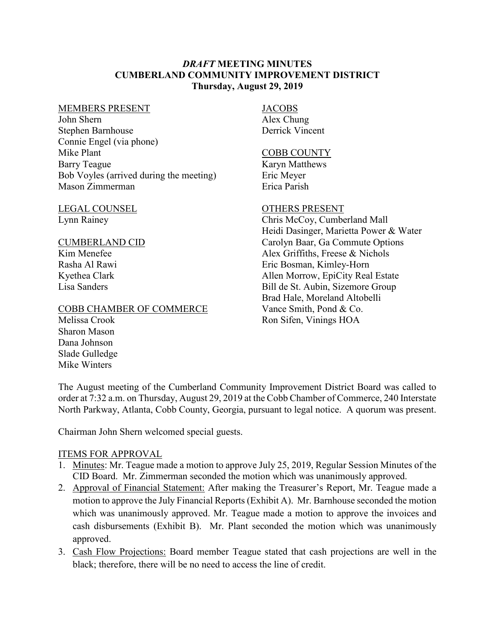### *DRAFT* **MEETING MINUTES CUMBERLAND COMMUNITY IMPROVEMENT DISTRICT Thursday, August 29, 2019**

#### MEMBERS PRESENT

John Shern Stephen Barnhouse Connie Engel (via phone) Mike Plant Barry Teague Bob Voyles (arrived during the meeting) Mason Zimmerman

### LEGAL COUNSEL Lynn Rainey

### CUMBERLAND CID

Kim Menefee Rasha Al Rawi Kyethea Clark Lisa Sanders

### COBB CHAMBER OF COMMERCE

# **JACOBS**

Alex Chung Derrick Vincent

#### COBB COUNTY

Karyn Matthews Eric Meyer Erica Parish

## OTHERS PRESENT

Chris McCoy, Cumberland Mall Heidi Dasinger, Marietta Power & Water Carolyn Baar, Ga Commute Options Alex Griffiths, Freese & Nichols Eric Bosman, Kimley-Horn Allen Morrow, EpiCity Real Estate Bill de St. Aubin, Sizemore Group Brad Hale, Moreland Altobelli Vance Smith, Pond & Co. Ron Sifen, Vinings HOA

Melissa Crook Sharon Mason Dana Johnson Slade Gulledge Mike Winters

The August meeting of the Cumberland Community Improvement District Board was called to order at 7:32 a.m. on Thursday, August 29, 2019 at the Cobb Chamber of Commerce, 240 Interstate North Parkway, Atlanta, Cobb County, Georgia, pursuant to legal notice. A quorum was present.

Chairman John Shern welcomed special guests.

### ITEMS FOR APPROVAL

- 1. Minutes: Mr. Teague made a motion to approve July 25, 2019, Regular Session Minutes of the CID Board. Mr. Zimmerman seconded the motion which was unanimously approved.
- 2. Approval of Financial Statement: After making the Treasurer's Report, Mr. Teague made a motion to approve the July Financial Reports (Exhibit A). Mr. Barnhouse seconded the motion which was unanimously approved. Mr. Teague made a motion to approve the invoices and cash disbursements (Exhibit B). Mr. Plant seconded the motion which was unanimously approved.
- 3. Cash Flow Projections: Board member Teague stated that cash projections are well in the black; therefore, there will be no need to access the line of credit.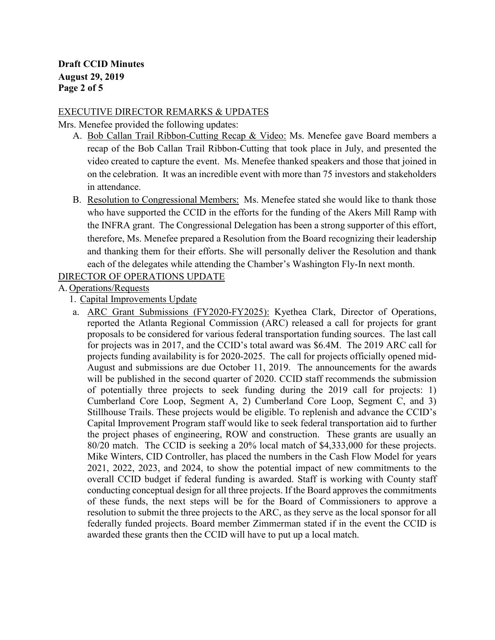## EXECUTIVE DIRECTOR REMARKS & UPDATES

Mrs. Menefee provided the following updates:

- A. Bob Callan Trail Ribbon-Cutting Recap & Video: Ms. Menefee gave Board members a recap of the Bob Callan Trail Ribbon-Cutting that took place in July, and presented the video created to capture the event. Ms. Menefee thanked speakers and those that joined in on the celebration. It was an incredible event with more than 75 investors and stakeholders in attendance.
- B. Resolution to Congressional Members: Ms. Menefee stated she would like to thank those who have supported the CCID in the efforts for the funding of the Akers Mill Ramp with the INFRA grant. The Congressional Delegation has been a strong supporter of this effort, therefore, Ms. Menefee prepared a Resolution from the Board recognizing their leadership and thanking them for their efforts. She will personally deliver the Resolution and thank each of the delegates while attending the Chamber's Washington Fly-In next month.

## DIRECTOR OF OPERATIONS UPDATE

A. Operations/Requests

## 1. Capital Improvements Update

a. ARC Grant Submissions (FY2020-FY2025): Kyethea Clark, Director of Operations, reported the Atlanta Regional Commission (ARC) released a call for projects for grant proposals to be considered for various federal transportation funding sources. The last call for projects was in 2017, and the CCID's total award was \$6.4M. The 2019 ARC call for projects funding availability is for 2020-2025. The call for projects officially opened mid-August and submissions are due October 11, 2019. The announcements for the awards will be published in the second quarter of 2020. CCID staff recommends the submission of potentially three projects to seek funding during the 2019 call for projects: 1) Cumberland Core Loop, Segment A, 2) Cumberland Core Loop, Segment C, and 3) Stillhouse Trails. These projects would be eligible. To replenish and advance the CCID's Capital Improvement Program staff would like to seek federal transportation aid to further the project phases of engineering, ROW and construction. These grants are usually an 80/20 match. The CCID is seeking a 20% local match of \$4,333,000 for these projects. Mike Winters, CID Controller, has placed the numbers in the Cash Flow Model for years 2021, 2022, 2023, and 2024, to show the potential impact of new commitments to the overall CCID budget if federal funding is awarded. Staff is working with County staff conducting conceptual design for all three projects. If the Board approves the commitments of these funds, the next steps will be for the Board of Commissioners to approve a resolution to submit the three projects to the ARC, as they serve as the local sponsor for all federally funded projects. Board member Zimmerman stated if in the event the CCID is awarded these grants then the CCID will have to put up a local match.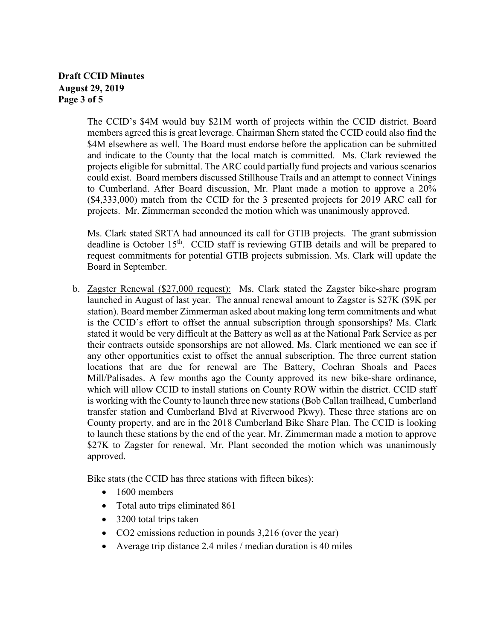## **Draft CCID Minutes August 29, 2019 Page 3 of 5**

The CCID's \$4M would buy \$21M worth of projects within the CCID district. Board members agreed this is great leverage. Chairman Shern stated the CCID could also find the \$4M elsewhere as well. The Board must endorse before the application can be submitted and indicate to the County that the local match is committed. Ms. Clark reviewed the projects eligible for submittal. The ARC could partially fund projects and various scenarios could exist. Board members discussed Stillhouse Trails and an attempt to connect Vinings to Cumberland. After Board discussion, Mr. Plant made a motion to approve a 20% (\$4,333,000) match from the CCID for the 3 presented projects for 2019 ARC call for projects. Mr. Zimmerman seconded the motion which was unanimously approved.

Ms. Clark stated SRTA had announced its call for GTIB projects. The grant submission deadline is October 15<sup>th</sup>. CCID staff is reviewing GTIB details and will be prepared to request commitments for potential GTIB projects submission. Ms. Clark will update the Board in September.

b. Zagster Renewal (\$27,000 request): Ms. Clark stated the Zagster bike-share program launched in August of last year. The annual renewal amount to Zagster is \$27K (\$9K per station). Board member Zimmerman asked about making long term commitments and what is the CCID's effort to offset the annual subscription through sponsorships? Ms. Clark stated it would be very difficult at the Battery as well as at the National Park Service as per their contracts outside sponsorships are not allowed. Ms. Clark mentioned we can see if any other opportunities exist to offset the annual subscription. The three current station locations that are due for renewal are The Battery, Cochran Shoals and Paces Mill/Palisades. A few months ago the County approved its new bike-share ordinance, which will allow CCID to install stations on County ROW within the district. CCID staff is working with the County to launch three new stations (Bob Callan trailhead, Cumberland transfer station and Cumberland Blvd at Riverwood Pkwy). These three stations are on County property, and are in the 2018 Cumberland Bike Share Plan. The CCID is looking to launch these stations by the end of the year. Mr. Zimmerman made a motion to approve \$27K to Zagster for renewal. Mr. Plant seconded the motion which was unanimously approved.

Bike stats (the CCID has three stations with fifteen bikes):

- 1600 members
- Total auto trips eliminated 861
- 3200 total trips taken
- CO2 emissions reduction in pounds 3,216 (over the year)
- Average trip distance 2.4 miles / median duration is 40 miles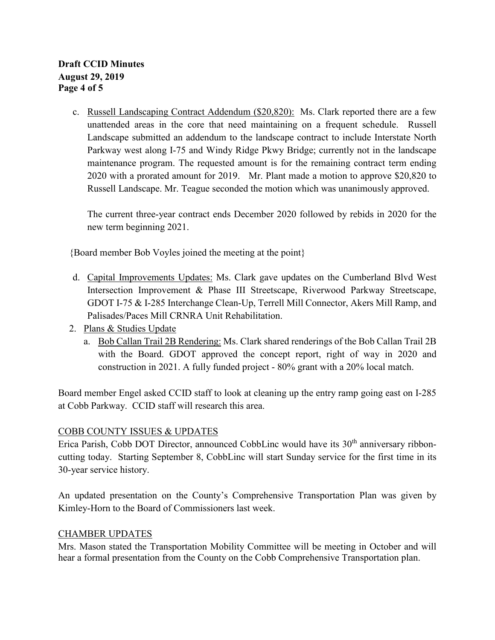c. Russell Landscaping Contract Addendum (\$20,820): Ms. Clark reported there are a few unattended areas in the core that need maintaining on a frequent schedule. Russell Landscape submitted an addendum to the landscape contract to include Interstate North Parkway west along I-75 and Windy Ridge Pkwy Bridge; currently not in the landscape maintenance program. The requested amount is for the remaining contract term ending 2020 with a prorated amount for 2019. Mr. Plant made a motion to approve \$20,820 to Russell Landscape. Mr. Teague seconded the motion which was unanimously approved.

The current three-year contract ends December 2020 followed by rebids in 2020 for the new term beginning 2021.

{Board member Bob Voyles joined the meeting at the point}

- d. Capital Improvements Updates: Ms. Clark gave updates on the Cumberland Blvd West Intersection Improvement & Phase III Streetscape, Riverwood Parkway Streetscape, GDOT I-75 & I-285 Interchange Clean-Up, Terrell Mill Connector, Akers Mill Ramp, and Palisades/Paces Mill CRNRA Unit Rehabilitation.
- 2. Plans & Studies Update
	- a. Bob Callan Trail 2B Rendering: Ms. Clark shared renderings of the Bob Callan Trail 2B with the Board. GDOT approved the concept report, right of way in 2020 and construction in 2021. A fully funded project - 80% grant with a 20% local match.

Board member Engel asked CCID staff to look at cleaning up the entry ramp going east on I-285 at Cobb Parkway. CCID staff will research this area.

## COBB COUNTY ISSUES & UPDATES

Erica Parish, Cobb DOT Director, announced CobbLinc would have its 30<sup>th</sup> anniversary ribboncutting today. Starting September 8, CobbLinc will start Sunday service for the first time in its 30-year service history.

An updated presentation on the County's Comprehensive Transportation Plan was given by Kimley-Horn to the Board of Commissioners last week.

### CHAMBER UPDATES

Mrs. Mason stated the Transportation Mobility Committee will be meeting in October and will hear a formal presentation from the County on the Cobb Comprehensive Transportation plan.